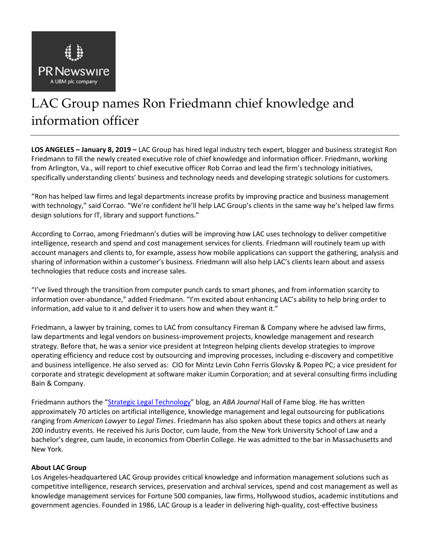

## LAC Group names Ron Friedmann chief knowledge and information officer

**LOS ANGELES – January 8, 2019 –** LAC Group has hired legal industry tech expert, blogger and business strategist Ron Friedmann to fill the newly created executive role of chief knowledge and information officer. Friedmann, working from Arlington, Va., will report to chief executive officer Rob Corrao and lead the firm's technology initiatives, specifically understanding clients' business and technology needs and developing strategic solutions for customers.

"Ron has helped law firms and legal departments increase profits by improving practice and business management with technology," said Corrao. "We're confident he'll help LAC Group's clients in the same way he's helped law firms design solutions for IT, library and support functions."

According to Corrao, among Friedmann's duties will be improving how LAC uses technology to deliver competitive intelligence, research and spend and cost management services for clients. Friedmann will routinely team up with account managers and clients to, for example, assess how mobile applications can support the gathering, analysis and sharing of information within a customer's business. Friedmann will also help LAC's clients learn about and assess technologies that reduce costs and increase sales.

"I've lived through the transition from computer punch cards to smart phones, and from information scarcity to information over-abundance," added Friedmann. "I'm excited about enhancing LAC's ability to help bring order to information, add value to it and deliver it to users how and when they want it."

Friedmann, a lawyer by training, comes to LAC from consultancy Fireman & Company where he advised law firms, law departments and legal vendors on business-improvement projects, knowledge management and research strategy. Before that, he was a senior vice president at Integreon helping clients develop strategies to improve operating efficiency and reduce cost by outsourcing and improving processes, including e-discovery and competitive and business intelligence. He also served as: CIO for Mintz Levin Cohn Ferris Glovsky & Popeo PC; a vice president for corporate and strategic development at software maker iLumin Corporation; and at several consulting firms including Bain & Company.

Friedmann authors the "[Strategic Legal Technology](https://prismlegal.com/blog/)" blog, an *ABA Journal* Hall of Fame blog. He has written approximately 70 articles on artificial intelligence, knowledge management and legal outsourcing for publications ranging from *American Lawyer* to *Legal Times*. Friedmann has also spoken about these topics and others at nearly 200 industry events. He received his Juris Doctor, cum laude, from the New York University School of Law and a bachelor's degree, cum laude, in economics from Oberlin College. He was admitted to the bar in Massachusetts and New York.

## **About LAC Group**

Los Angeles-headquartered LAC Group provides critical knowledge and information management solutions such as competitive intelligence, research services, preservation and archival services, spend and cost management as well as knowledge management services for Fortune 500 companies, law firms, Hollywood studios, academic institutions and government agencies. Founded in 1986, LAC Group is a leader in delivering high-quality, cost-effective business